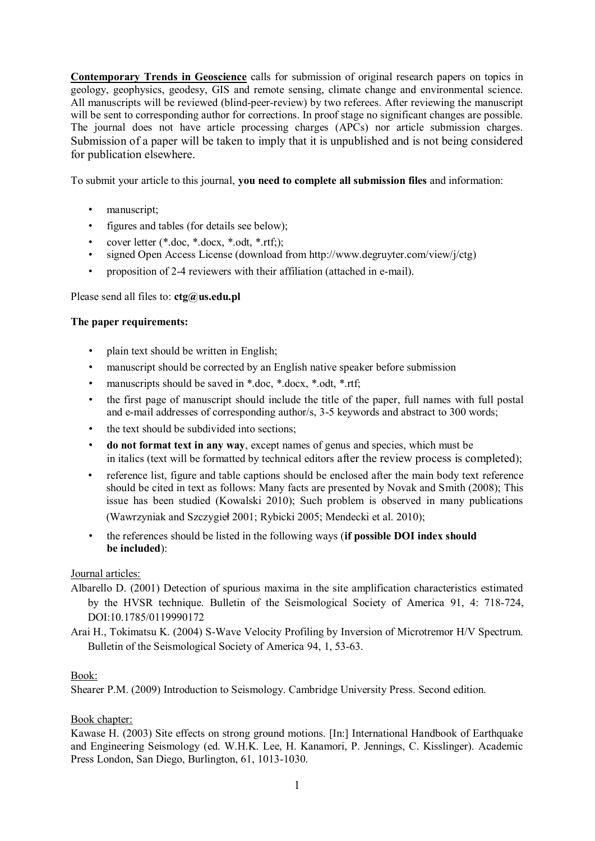**Contemporary Trends in Geoscience** calls for submission of original research papers on topics in geology, geophysics, geodesy, GIS and remote sensing, climate change and environmental science. All manuscripts will be reviewed (blind-peer-review) by two referees. After reviewing the manuscript will be sent to corresponding author for corrections. In proof stage no significant changes are possible. The journal does not have article processing charges (APCs) nor article submission charges. Submission of a paper will be taken to imply that it is unpublished and is not being considered for publication elsewhere.

To submit your article to this journal, **you need to complete all submission files** and information:

- manuscript;
- figures and tables (for details see below);
- cover letter (\*.doc, \*.docx, \*.odt, \*.rtf;);
- signed Open Access License (download from http://www.degruyter.com/view/j/ctg)
- proposition of 2-4 reviewers with their affiliation (attached in e-mail).

### Please send all files to: **ctg@us.edu.pl**

### **The paper requirements:**

- plain text should be written in English:
- manuscript should be corrected by an English native speaker before submission
- manuscripts should be saved in \*.doc, \*.docx, \*.odt, \*.rtf;
- the first page of manuscript should include the title of the paper, full names with full postal and e-mail addresses of corresponding author/s, 3-5 keywords and abstract to 300 words;
- the text should be subdivided into sections;
- **do not format text in any way**, except names of genus and species, which must be in italics (text will be formatted by technical editors after the review process is completed);
- reference list, figure and table captions should be enclosed after the main body text reference should be cited in text as follows: Many facts are presented by Novak and Smith (2008); This issue has been studied (Kowalski 2010); Such problem is observed in many publications (Wawrzyniak and Szczygieł 2001; Rybicki 2005; Mendecki et al. 2010);
- the references should be listed in the following ways (**if possible DOI index should be included**):

## Journal articles:

- Albarello D. (2001) Detection of spurious maxima in the site amplification characteristics estimated by the HVSR technique. Bulletin of the Seismological Society of America 91, 4: 718-724, DOI:10.1785/0119990172
- Arai H., Tokimatsu K. (2004) S-Wave Velocity Profiling by Inversion of Microtremor H/V Spectrum. Bulletin of the Seismological Society of America 94, 1, 53-63.

#### Book:

Shearer P.M. (2009) Introduction to Seismology. Cambridge University Press. Second edition.

## Book chapter:

Kawase H. (2003) Site effects on strong ground motions. [In:] International Handbook of Earthquake and Engineering Seismology (ed. W.H.K. Lee, H. Kanamori, P. Jennings, C. Kisslinger). Academic Press London, San Diego, Burlington, 61, 1013-1030.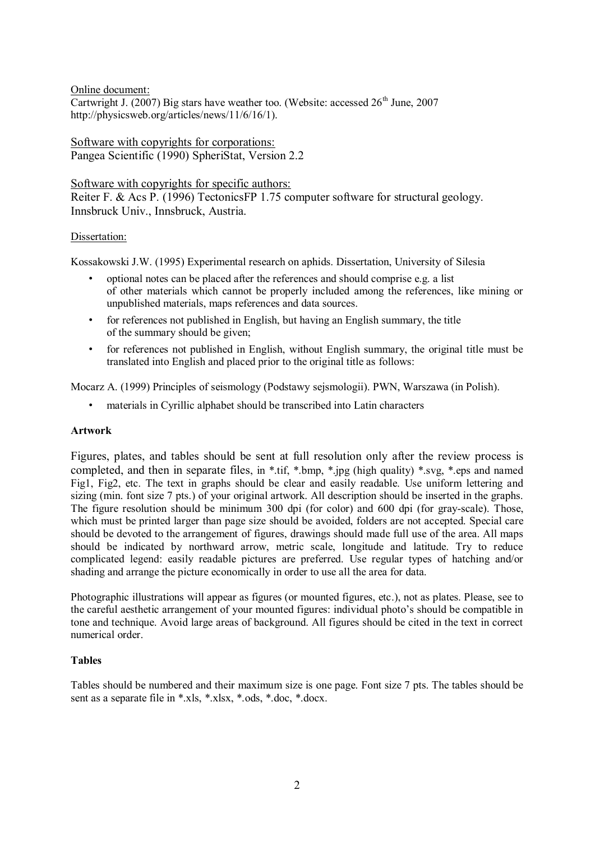Online document:

Cartwright J. (2007) Big stars have weather too. (Website: accessed  $26<sup>th</sup>$  June, 2007 http://physicsweb.org/articles/news/11/6/16/1).

Software with copyrights for corporations: Pangea Scientific (1990) SpheriStat, Version 2.2

Software with copyrights for specific authors:

Reiter F. & Acs P. (1996) TectonicsFP 1.75 computer software for structural geology. Innsbruck Univ., Innsbruck, Austria.

### Dissertation:

Kossakowski J.W. (1995) Experimental research on aphids. Dissertation, University of Silesia

- optional notes can be placed after the references and should comprise e.g. a list of other materials which cannot be properly included among the references, like mining or unpublished materials, maps references and data sources.
- for references not published in English, but having an English summary, the title of the summary should be given;
- for references not published in English, without English summary, the original title must be translated into English and placed prior to the original title as follows:

Mocarz A. (1999) Principles of seismology (Podstawy sejsmologii). PWN, Warszawa (in Polish).

• materials in Cyrillic alphabet should be transcribed into Latin characters

## **Artwork**

Figures, plates, and tables should be sent at full resolution only after the review process is completed, and then in separate files, in \*.tif, \*.bmp, \*.jpg (high quality) \*.svg, \*.eps and named Fig1, Fig2, etc. The text in graphs should be clear and easily readable. Use uniform lettering and sizing (min. font size 7 pts.) of your original artwork. All description should be inserted in the graphs. The figure resolution should be minimum 300 dpi (for color) and 600 dpi (for gray-scale). Those, which must be printed larger than page size should be avoided, folders are not accepted. Special care should be devoted to the arrangement of figures, drawings should made full use of the area. All maps should be indicated by northward arrow, metric scale, longitude and latitude. Try to reduce complicated legend: easily readable pictures are preferred. Use regular types of hatching and/or shading and arrange the picture economically in order to use all the area for data.

Photographic illustrations will appear as figures (or mounted figures, etc.), not as plates. Please, see to the careful aesthetic arrangement of your mounted figures: individual photo's should be compatible in tone and technique. Avoid large areas of background. All figures should be cited in the text in correct numerical order.

#### **Tables**

Tables should be numbered and their maximum size is one page. Font size 7 pts. The tables should be sent as a separate file in \*.xls, \*.xlsx, \*.ods, \*.doc, \*.docx.